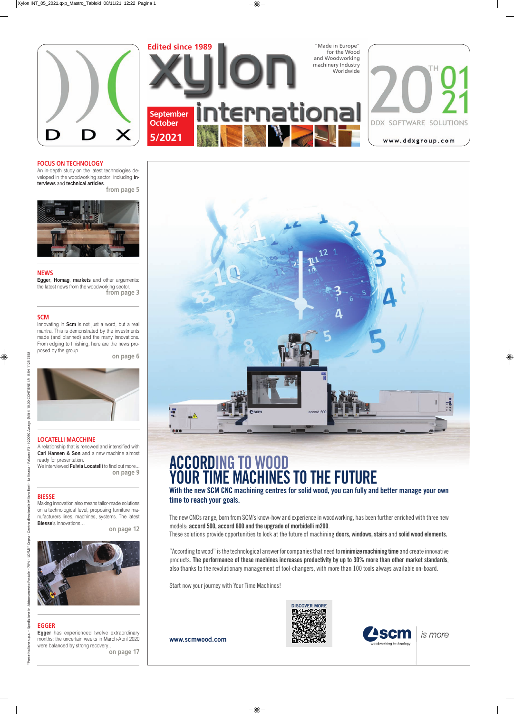



**www.scmwood.com**





# ACCORDING TO WOOD YOUR TIME MACHINES TO THE FUTURE

With the new SCM CNC machining centres for solid wood, you can fully and better manage your own time to reach your goals.

The new CNCs range, born from SCM's know-how and experience in woodworking, has been further enriched with three new models: accord 500, accord 600 and the upgrade of morbidelli m200.

These solutions provide opportunities to look at the future of machining **doors, windows, stairs** and **solid wood elements.** 

"According to wood" is the technological answer for companies that need to minimize machining time and create innovative products. The performance of these machines increases productivity by up to 30% more than other market standards, also thanks to the revolutionary management of tool-changers, with more than 100 tools always available on-board.

Start now your journey with Your Time Machines!

### **LOCATELLI MACCHINE**

A relationship that is renewed and intensified with **Carl Hansen & Son** and a new machine almost ready for presentation.

We interviewed **Fulvia Locatelli** to find out more... **on page 9**

#### **FOCUS ON TECHNOLOGY**

An in-depth study on the latest technologies developed in the woodworking sector, including **interviews** and **technical articles**.

**from page 5**



### **BIESSE**

Making innovation also means tailor-made solutions on a technological level, proposing furniture manufacturers lines, machines, systems. The latest **Biesse**'s innovations…

**on page 12**



#### **NEWS**

**Egger**, **Homag**, **markets** and other arguments: the latest news from the woodworking sector. **from page 3**

### **SCM**

Innovating in **Scm** is not just a word, but a real mantra. This is demonstrated by the investments made (and planned) and the many innovations. From edging to finishing, here are the news proposed by the group...

**on page 6**

to Postale - 70% - LO/MI" Cepra

Spedizion

s.p.a.

taliane

Poste

### **EGGER**

**Egger** has experienced twelve extraordinary months: the uncertain weeks in March-April 2020 were balanced by strong recovery… **on page 17**